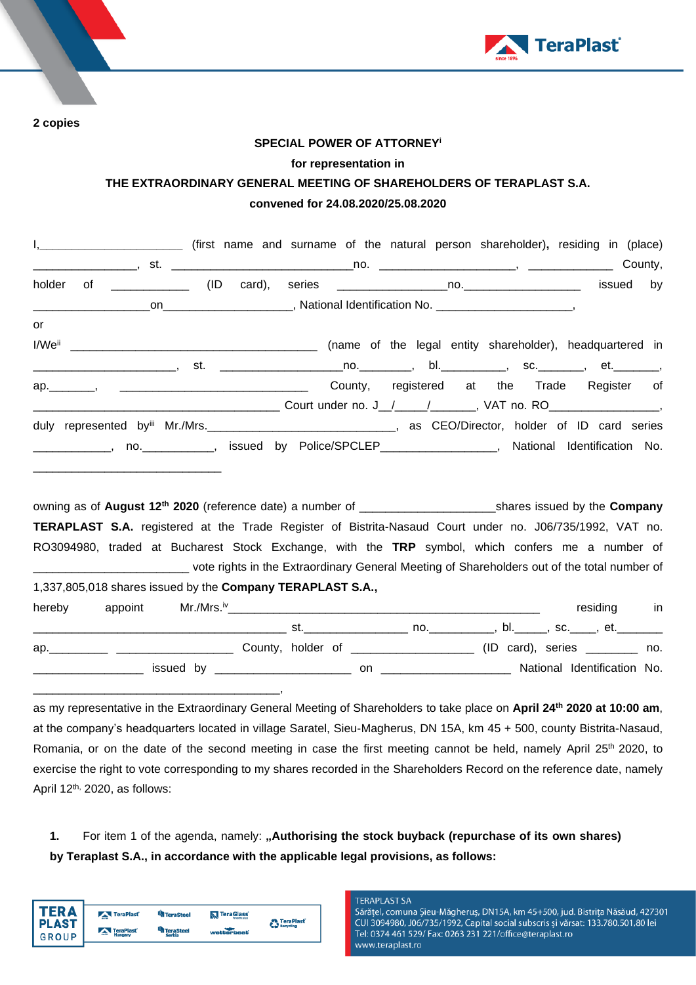

**2 copies**

## **SPECIAL POWER OF ATTORNEY<sup>i</sup>**

## **for representation in**

# **THE EXTRAORDINARY GENERAL MEETING OF SHAREHOLDERS OF TERAPLAST S.A. convened for 24.08.2020/25.08.2020**

|    | I, ____________________________ (first name and surname of the natural person shareholder), residing in (place) |  |  |  |  |  |  |
|----|-----------------------------------------------------------------------------------------------------------------|--|--|--|--|--|--|
|    |                                                                                                                 |  |  |  |  |  |  |
|    |                                                                                                                 |  |  |  |  |  |  |
|    |                                                                                                                 |  |  |  |  |  |  |
| or |                                                                                                                 |  |  |  |  |  |  |
|    |                                                                                                                 |  |  |  |  |  |  |
|    |                                                                                                                 |  |  |  |  |  |  |
|    | ap. Manuscript Arena Arena County, registered at the Trade Register of                                          |  |  |  |  |  |  |
|    |                                                                                                                 |  |  |  |  |  |  |
|    | duly represented by Mr./Mrs. CEO/Director, holder of ID card series                                             |  |  |  |  |  |  |
|    | _____________, no. ___________, issued by Police/SPCLEP_________________, National Identification No.           |  |  |  |  |  |  |
|    | and the state of the state of the state of the state of the state of the state of the state of the state of the |  |  |  |  |  |  |
|    |                                                                                                                 |  |  |  |  |  |  |
|    |                                                                                                                 |  |  |  |  |  |  |
|    | TERAPLAST S.A. registered at the Trade Register of Bistrita-Nasaud Court under no. J06/735/1992, VAT no.        |  |  |  |  |  |  |
|    | DO0004000 tooled at Duckenset Oteah, Fucksieger with the TDD simpled which conform are a proposalize of         |  |  |  |  |  |  |

RO3094980, traded at Bucharest Stock Exchange, with the **TRP** symbol, which confers me a number of \_\_\_\_\_\_\_\_\_\_\_\_\_\_\_\_\_\_\_\_\_\_\_\_ vote rights in the Extraordinary General Meeting of Shareholders out of the total number of 1,337,805,018 shares issued by the **Company TERAPLAST S.A.,**

| hereby | appoint | Mr./Mrs.™ |                   |     |      | residing                    | in  |
|--------|---------|-----------|-------------------|-----|------|-----------------------------|-----|
|        |         |           | st                | no. | bl., | , sc._____, et.________     |     |
| ap.    |         |           | County, holder of |     |      | $(ID \ card), \ series$     | no. |
|        |         | issued by |                   | on  |      | National Identification No. |     |

as my representative in the Extraordinary General Meeting of Shareholders to take place on **April 24 th 2020 at 10:00 am**, at the company's headquarters located in village Saratel, Sieu-Magherus, DN 15A, km 45 + 500, county Bistrita-Nasaud, Romania, or on the date of the second meeting in case the first meeting cannot be held, namely April 25<sup>th</sup> 2020, to exercise the right to vote corresponding to my shares recorded in the Shareholders Record on the reference date, namely April 12<sup>th,</sup> 2020, as follows:

**1.** For item 1 of the agenda, namely: "Authorising the stock buyback (repurchase of its own shares) **by Teraplast S.A., in accordance with the applicable legal provisions, as follows:**

|                       | TeraPlast            | <sup>u</sup> n TeraSteel   | TeraGlass         | <b>TeraPlast</b> |
|-----------------------|----------------------|----------------------------|-------------------|------------------|
| PLAST<br><b>GROUP</b> | TeraPlast<br>Hungary | <b>TeraSteel</b><br>Serbia | <b>watterbeat</b> | Recycling        |

\_\_\_\_\_\_\_\_\_\_\_\_\_\_\_\_\_\_\_\_\_\_\_\_\_\_\_\_\_\_\_\_\_\_\_\_\_\_,

#### **TERAPLAST SA**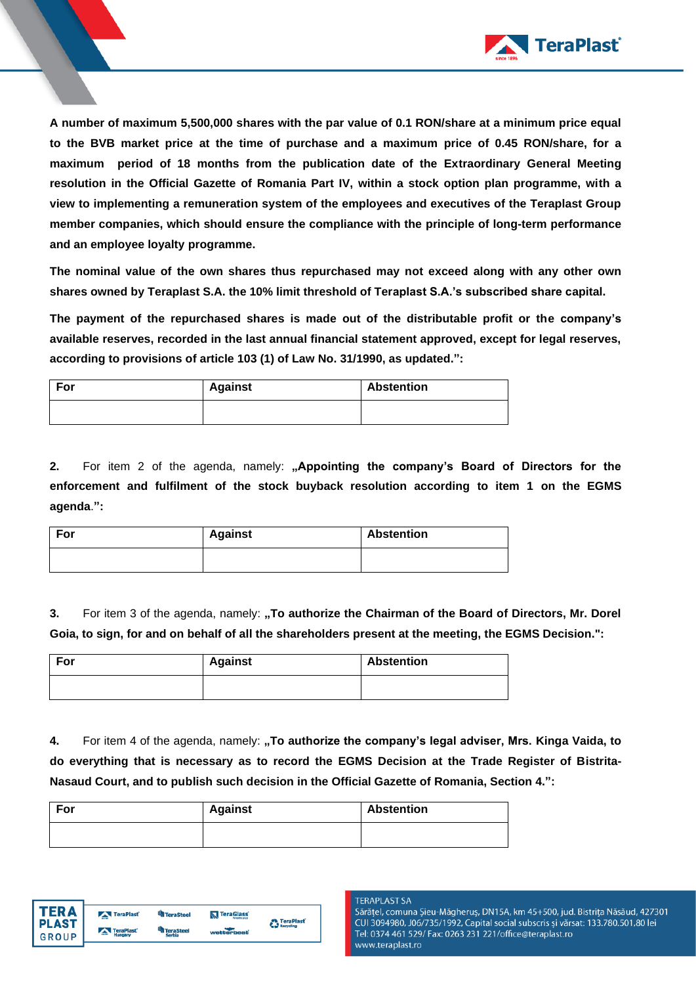

**A number of maximum 5,500,000 shares with the par value of 0.1 RON/share at a minimum price equal to the BVB market price at the time of purchase and a maximum price of 0.45 RON/share, for a maximum period of 18 months from the publication date of the Extraordinary General Meeting resolution in the Official Gazette of Romania Part IV, within a stock option plan programme, with a view to implementing a remuneration system of the employees and executives of the Teraplast Group member companies, which should ensure the compliance with the principle of long-term performance and an employee loyalty programme.**

**The nominal value of the own shares thus repurchased may not exceed along with any other own shares owned by Teraplast S.A. the 10% limit threshold of Teraplast S.A.'s subscribed share capital.**

**The payment of the repurchased shares is made out of the distributable profit or the company's available reserves, recorded in the last annual financial statement approved, except for legal reserves, according to provisions of article 103 (1) of Law No. 31/1990, as updated.":**

| For | <b>Against</b> | <b>Abstention</b> |
|-----|----------------|-------------------|
|     |                |                   |

**2.** For item 2 of the agenda, namely: "Appointing the company's Board of Directors for the **enforcement and fulfilment of the stock buyback resolution according to item 1 on the EGMS agenda**.**":**

| For | <b>Against</b> | <b>Abstention</b> |
|-----|----------------|-------------------|
|     |                |                   |

**3.** For item 3 of the agenda, namely: **"To authorize the Chairman of the Board of Directors, Mr. Dorel Goia, to sign, for and on behalf of all the shareholders present at the meeting, the EGMS Decision.":**

| For | <b>Against</b> | <b>Abstention</b> |
|-----|----------------|-------------------|
|     |                |                   |

**4.** For item 4 of the agenda, namely: **"To authorize the company's legal adviser, Mrs. Kinga Vaida, to do everything that is necessary as to record the EGMS Decision at the Trade Register of Bistrita-Nasaud Court, and to publish such decision in the Official Gazette of Romania, Section 4.":**

| For | <b>Against</b> | <b>Abstention</b> |
|-----|----------------|-------------------|
|     |                |                   |



## **TERAPLAST SA**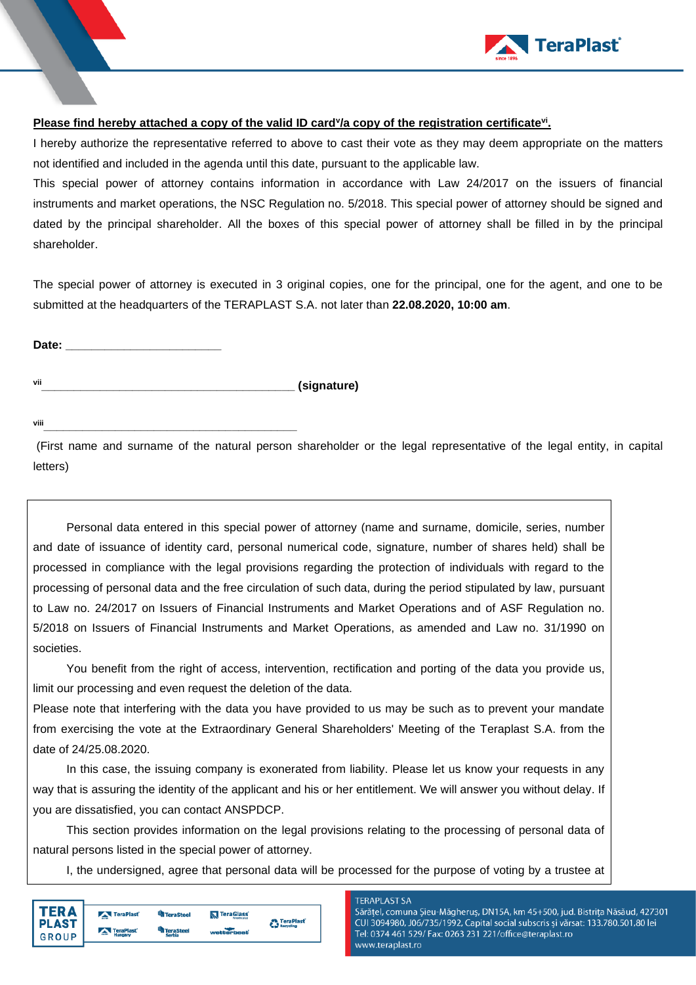

# **Please find hereby attached a copy of the valid ID card<sup>y</sup>/a copy of the registration certificate<sup>vi</sup>.**

I hereby authorize the representative referred to above to cast their vote as they may deem appropriate on the matters not identified and included in the agenda until this date, pursuant to the applicable law.

This special power of attorney contains information in accordance with Law 24/2017 on the issuers of financial instruments and market operations, the NSC Regulation no. 5/2018. This special power of attorney should be signed and dated by the principal shareholder. All the boxes of this special power of attorney shall be filled in by the principal shareholder.

The special power of attorney is executed in 3 original copies, one for the principal, one for the agent, and one to be submitted at the headquarters of the TERAPLAST S.A. not later than **22.08.2020, 10:00 am**.

Date: **Date: Date: Date: Date: Date: Date: Date: Date: Date: Date: Date: Date: Date: Date: Date: Date: Date: Date: Date: Date: Date: Date: Date: Date: Date: Date: Date:**

vii **vii** 

**viii\_\_\_\_\_\_\_\_\_\_\_\_\_\_\_\_\_\_\_\_\_\_\_\_\_\_\_\_\_\_\_\_\_\_\_\_\_\_\_**

(First name and surname of the natural person shareholder or the legal representative of the legal entity, in capital letters)

Personal data entered in this special power of attorney (name and surname, domicile, series, number and date of issuance of identity card, personal numerical code, signature, number of shares held) shall be processed in compliance with the legal provisions regarding the protection of individuals with regard to the processing of personal data and the free circulation of such data, during the period stipulated by law, pursuant to Law no. 24/2017 on Issuers of Financial Instruments and Market Operations and of ASF Regulation no. 5/2018 on Issuers of Financial Instruments and Market Operations, as amended and Law no. 31/1990 on societies.

You benefit from the right of access, intervention, rectification and porting of the data you provide us, limit our processing and even request the deletion of the data.

Please note that interfering with the data you have provided to us may be such as to prevent your mandate from exercising the vote at the Extraordinary General Shareholders' Meeting of the Teraplast S.A. from the date of 24/25.08.2020.

In this case, the issuing company is exonerated from liability. Please let us know your requests in any way that is assuring the identity of the applicant and his or her entitlement. We will answer you without delay. If you are dissatisfied, you can contact ANSPDCP.

This section provides information on the legal provisions relating to the processing of personal data of natural persons listed in the special power of attorney.

I, the undersigned, agree that personal data will be processed for the purpose of voting by a trustee at

| <b>PLAST</b><br><b>GROUP</b> | TeraPlast<br>TeraPlast | <sup>u</sup> n TeraSteel<br><b>TeraSteel</b><br>Serbia | TeraGlass<br>wetterbeat | <b>C</b> TeraPlast <sup>*</sup> |
|------------------------------|------------------------|--------------------------------------------------------|-------------------------|---------------------------------|
|                              |                        |                                                        |                         |                                 |

**TERAPLAST SA**